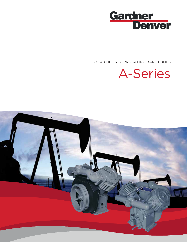

7.5–40 HP | RECIPROCATING BARE PUMPS



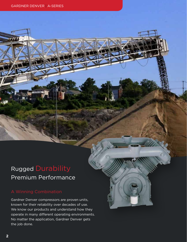### Rugged Durability Premium Performance

Gardner Denver compressors are proven units, known for their reliability over decades of use. We know our products and understand how they operate in many different operating environments. No matter the application, Gardner Denver gets the job done.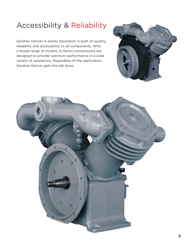# Accessibility & Reliability

Gardner Denver A-Series reputation is built on quality, reliability and accessibility to all components. With a broad range of models, A-Series compressors are designed to provide optimum performance in a wide variety of operations. Regardless of the application, Gardner Denver gets the job done.



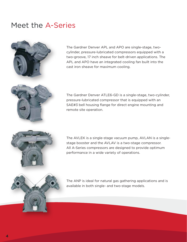### Meet the A-Series



The Gardner Denver APL and APO are single-stage, twocylinder, pressure-lubricated compressors equipped with a two-groove, 17 inch sheave for belt-driven applications. The APL and APO have an integrated cooling fan built into the cast iron sheave for maximum cooling.



The Gardner Denver ATLE6-GD is a single-stage, two-cylinder, pressure-lubricated compressor that is equipped with an SAE#3 bell housing flange for direct engine mounting and remote site operation.



The AVLEK is a single-stage vacuum pump, AVLAN is a singlestage booster and the AVLAV is a two-stage compressor. All A-Series compressors are designed to provide optimum performance in a wide variety of operations.



The ANP is ideal for natural gas gathering applications and is available in both single- and two-stage models.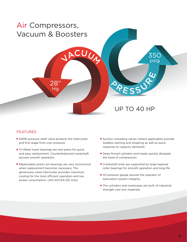

### FEATURES

- ASME pressure relief valve protects the intercooler and first stage from over pressure.
- Tri-Metal insert bearings are two-piece for quick and easy replacement. Counterbalanced crankshaft assures smooth operation.
- Replaceable piston pin bearings are very economical when replacement becomes necessary. The generously sized intercooler provides maximum cooling for the most efficient operation and low power consumption. (AVLAVCAA-GD only)
- Suction unloading valves (where applicable) provide loadless starting and stopping as well as quick response to capacity demands.
- Deep-finned cylinders and heads quickly dissipate the head of compression.
- Crankshaft ends are supported by large tapered roller bearings for smooth operation and long life.
- Oil pressure gauge assures the operator of lubrication system integrity.
- The cylinders and crankcases are built of industrial strength cast iron materials.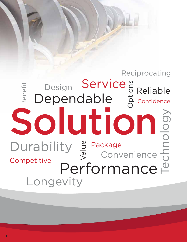### Solution Design Design Service<sup>"</sup> Reliable<br>Dependable <sup>2</sup>2<sup>2</sup> Confidence Technology Benefit Longevity Convenience Performance Durability  $\frac{9}{5}$  Package<br>Convenience Reciprocating Service Confidence Competitive Value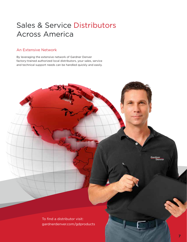## Sales & Service Distributors Across America

#### An Extensive Network

By leveraging the extensive network of Gardner Denver factory-trained authorized local distributors, your sales, service and technical support needs can be handled quickly and easily.

> To find a distributor visit: gardnerdenver.com/gdproducts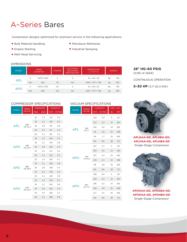## A–Series Bares

Compressor designs optimized for premium service in the following applications:

- Bulk Material Handling
- Engine Starting
- Well Head Servicing

■ Petroleum Refineries ■ Industrial Spraying

#### DIMENSIONS

| <b>MODEL</b> |    | <b>BORE</b><br><b>DIAMETER</b> | <b>SUCTION &amp;</b><br><b>STROKE</b><br><b>DISCHARGE</b><br>PIPE SIZE NPT |           | <b>DIMENSIONS</b><br>$L \times W \times H$ | <b>WEIGHT</b> |     |
|--------------|----|--------------------------------|----------------------------------------------------------------------------|-----------|--------------------------------------------|---------------|-----|
|              | in | 7.875/7.875                    | 3                                                                          | 3         | $41 \times 29 \times 30$                   | lbs           | 750 |
| APL          | mm | 200                            | 76                                                                         | <b>NA</b> | $1041 \times 737 \times 762$               | kg            | 340 |
|              | in | 7.875/7.875                    | 4.5                                                                        | 3         | $41 \times 29 \times 30$                   | lbs           | 750 |
| <b>APO</b>   | mm | 200                            | 114                                                                        | <b>NA</b> | $1041 \times 737 \times 762$               | kg            | 340 |

**28" HG–60 PSIG**  (0.95–4.1 BAR)

CONTINUOUS OPERATION

**5–30 HP** (3.7–22.4 KW)

#### COMPRESSOR SPECIFICATIONS

| <b>MODEL</b> | <b>SPEED</b>    |             | <b>PRESSURE</b> |            | <b>CAPACITY</b>     |
|--------------|-----------------|-------------|-----------------|------------|---------------------|
|              | HP/KW           | <b>PSIG</b> | <b>BAR</b>      | <b>CFM</b> | M <sup>3</sup> /MIN |
|              |                 | 20          | 1.4             | 113        | 3.2                 |
|              |                 | 30          | 2.1             | 105        | 3.0                 |
| <b>APL</b>   | 855<br>15/11.2  | 40          | 2.8             | 98         | 2.8                 |
|              |                 | 50          | 3.4             | 90         | 2.5                 |
|              |                 | 60          | 4.1             | 83         | 3.1                 |
|              |                 | 20          | 1.4             | 145        | 4.1                 |
|              |                 | 30          | 2.1             | 134        | 3.8                 |
| APO          | 698<br>20/14.9  | 40          | 2.8             | 125        | 3.5                 |
|              |                 | 50          | 3.4             | 117        | 3.3                 |
|              |                 | 60          | 4.1             | 110        | 3.1                 |
|              |                 | 20          | 1.4             | 181        | 5.1                 |
|              |                 | 30          | 2.1             | 169        | 4.8                 |
| APO          | 885<br>25/18.6  | 40          | 2.8             | 158        | 4.5                 |
|              |                 | 50          | 3.4             | 148        | 4.2                 |
|              |                 | 60          | 4.1             | 138        | 3.9                 |
|              |                 | 20          | 1.4             | 218        | 6.1                 |
|              |                 | 30          | 2.1             | 205        | 5.8                 |
| APO          | 1072<br>30/22.4 | 40          | 2.8             | 192        | 5.4                 |
|              |                 | 50          | 3.4             | 180        | 5.1                 |
|              |                 | 60          | 4.1             | 168        | 4.8                 |

#### VACUUM SPECIFICATIONS

| <b>MODEL</b> | <b>SPEED</b>   |            | <b>CAPACITY</b>     |    | VAC. - HG |
|--------------|----------------|------------|---------------------|----|-----------|
|              | HP/KW          | <b>CFM</b> | M <sup>3</sup> /MIN | IN | <b>MM</b> |
|              |                | 120        | 3.4                 | 5  | 127       |
| APL          |                | 114        | 3.2                 | 10 | 254       |
|              | 780            | 105        | 3.0                 | 15 | 381       |
|              | 5/3.7          | 92         | 2.6                 | 20 | 508       |
|              |                | 60         | 1.7                 | 25 | 635       |
|              |                | <b>NA</b>  | <b>NA</b>           | 28 | 711       |
|              |                | 167        | 4.7                 | 5  | 127       |
|              | 739<br>7.5/5.6 | 164        | 4.6                 | 10 | 254       |
|              |                | 157        | 4.4                 | 15 | 381       |
| APO          |                | 145        | 4.1                 | 20 | 508       |
|              |                | 99         | 2.8                 | 25 | 635       |
|              |                | <b>NA</b>  | <b>NA</b>           | 28 | 711       |
|              |                | 198        | 5.6                 | 5  | 127       |
|              |                | 193        | 5.5                 | 10 | 254       |
|              | 937            | 185        | 5.2                 | 15 | 381       |
| APO          | 10/7.5         | 169        | 4.8                 | 20 | 508       |
|              |                | 117        | 3.5                 | 25 | 635       |
|              |                | <b>NA</b>  | <b>NA</b>           | 28 | 711       |
|              |                |            |                     |    |           |



**APLGAA-GD, APLGBA-GD, APLHAA-GD, APLHBA-GD** Single-Stage Compressor



**APOGAA-GD, APOGBA-GD, APOHAA-GD, APOHBA-GD** Single-Stage Compressor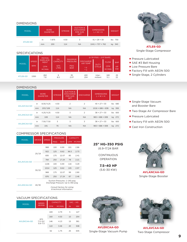#### DIMENSIONS

| <b>MODEL</b> |    | <b>BORE</b><br><b>DIAMETER</b> | <b>STROKE</b> | SUCTION &<br><b>DISCHARGE</b><br>PIPE SIZE<br><b>NPT</b> | <b>DIMENSIONS</b><br>$L \times W \times H$ | <b>WEIGHT</b> |
|--------------|----|--------------------------------|---------------|----------------------------------------------------------|--------------------------------------------|---------------|
|              | in | 7.875                          | 4.50          |                                                          | $41 \times 29 \times 30$                   | lbs 750       |
| ATLE6-GD     | mm | 200                            | 114           | <b>NA</b>                                                | $1041 \times 737 \times 762$               | kg 340        |

#### SPECIFICATIONS

|              |                            | <b>PISTON</b>                     | OIL                | <b>MAXIMUM</b>            | @ 30 PSIG - 2.07 BARS               |                             |                                   |                        |  |
|--------------|----------------------------|-----------------------------------|--------------------|---------------------------|-------------------------------------|-----------------------------|-----------------------------------|------------------------|--|
| <b>MODEL</b> | <b>SPEED</b><br><b>RPM</b> | <b>DISPLACE-</b><br><b>MENT</b>   | <b>CAPACITY</b>    | <b>PRESSURE</b>           | <b>DISCHARGE</b><br><b>AIR TEMP</b> |                             | <b>FLOW</b>                       | <b>BHP</b>             |  |
|              |                            | <b>CFM</b><br>M <sup>3</sup> /MIN | QTS<br><b>LTRS</b> | <b>PSIG</b><br><b>BAR</b> | ۰F<br>$\overline{C}$                | <b>DUTY</b><br><b>CYCLE</b> | <b>CFM</b><br>M <sup>3</sup> /MIN | <b>HP</b><br><b>KW</b> |  |
| ATLE6-GD     | 1550                       | 262<br>7.8                        | 9<br>8.5           | 30<br>2.07                | 400<br>204                          | Inter-<br>mittent           | 180<br>5.1                        | 29<br>22               |  |

#### DIMENSIONS

| <b>MODEL</b>       | <b>BORE</b><br><b>DIAMETER</b> |           | <b>STROKE</b> | <b>SUCTION &amp;</b><br><b>DISCHARGE</b><br>PIPE SIZE<br><b>NPT</b> | <b>DISCHARGE</b> | <b>DIMENSIONS</b><br>$L \times W \times H$ | <b>WEIGHT</b> |
|--------------------|--------------------------------|-----------|---------------|---------------------------------------------------------------------|------------------|--------------------------------------------|---------------|
| AVLAVCAA-GD        | in                             | 8.00/4.25 | 4.50          | $\overline{2}$                                                      | $\overline{2}$   | $40 \times 27 \times 33$                   | lbs 680       |
|                    | mm                             | 203/108   | 114           | <b>NA</b>                                                           | <b>NA</b>        | $1016 \times 686 \times 838$               | kg 308        |
| <b>AVLANCAA-GD</b> | in                             | 4.25/4.25 | 4.50          | 3                                                                   | $\overline{2}$   | $38 \times 27 \times 33$                   | lbs 600       |
|                    | mm                             | 108       | 114           | <b>NA</b>                                                           | <b>NA</b>        | $965 \times 686 \times 838$                | kg 272        |
|                    | in                             | 7.50/7.50 | 3             | 3                                                                   | 3                | $38 \times 27 \times 33$                   | lbs 600       |
| <b>AVLEKCAA-GD</b> | mm                             | 191       | 76            | <b>NA</b>                                                           | <b>NA</b>        | $965 \times 686 \times 838$                | kg 272        |

#### COMPRESSOR SPECIFICATIONS

| <b>MODEL</b>       | HP/KW | <b>SPEED</b> |                                                        | <b>PRESSURE</b>                                                     | <b>CAPACITY</b> |                     |  |  |  |
|--------------------|-------|--------------|--------------------------------------------------------|---------------------------------------------------------------------|-----------------|---------------------|--|--|--|
|                    |       |              | <b>PSIG</b>                                            | <b>BAR</b>                                                          | <b>CFM</b>      | M <sup>3</sup> /MIN |  |  |  |
|                    |       | 968          | 100                                                    | 6.90                                                                | 101             | 2.86                |  |  |  |
|                    |       | 922          | 125                                                    | 8.62                                                                | 96.5            | 2.73                |  |  |  |
|                    | 25/19 | 830          | 175                                                    | 12.07                                                               | 85              | 2.41                |  |  |  |
| <b>AVLAVCAA-GD</b> |       | 784          | 250                                                    | 17.24                                                               | 78              | 2.21                |  |  |  |
|                    |       | 1106         | 100                                                    | 6.90                                                                | 116             | 3.29                |  |  |  |
|                    | 30/22 | 1014         | 125                                                    | 8.62                                                                | 105             | 2.97                |  |  |  |
|                    |       | 968          | 175                                                    | 12.07                                                               | 99              | 2.80                |  |  |  |
|                    |       | 876          | 250                                                    | 17.24                                                               | 87              | 2.46                |  |  |  |
| <b>AVLANCAA-GD</b> |       |              |                                                        | Suction Pressures: 1-140 psig<br>Discharge Pressure: Up to 350 psig |                 |                     |  |  |  |
|                    | 40/30 |              | Consult factory for sizing<br>& technical information. |                                                                     |                 |                     |  |  |  |

#### VACUUM SPECIFICATIONS

|              | <b>SPEED</b>                      |            | <b>CAPACITY</b>     | VAC. - HG |           |  |
|--------------|-----------------------------------|------------|---------------------|-----------|-----------|--|
| <b>MODEL</b> | HP/KW                             | <b>CFM</b> | M <sup>3</sup> /MIN | IN        | <b>MM</b> |  |
|              |                                   | 169        | 4.79                | 5         | 127       |  |
|              |                                   | 160        | 4.53                | 10        | 254       |  |
| AVLEKCAA-GD  | 870<br>$7.5 - 10/$<br>$5.6 - 7.5$ | 146        | 4.13                | 15        | 381       |  |
|              |                                   | 122        | 3.46                | 20        | 508       |  |
|              |                                   | 62         | 1.75                | 25        | 635       |  |

#### **25" HG–350 PSIG**  (6.9–17.24 BAR

**CONTINUOUS** OPERATION

**7.5–40 HP** (5.6–30 KW)



**ATLE6-GD** Single-Stage Compressor

- Pressure Lubricated
- SAE #3 Bell Housing
- Low Pressure Bare
- Factory Fill with AEON 500
- Single-Stage, 2 Cylinders
- Single-Stage Vacuum and Booster Bare
- Two-Stage Air Compressor Bare
- Pressure Lubricated
- Factory Fill with AEON 500
- Cast Iron Construction



**AVLANCAA-GD** Single-Stage Booster



**AVLEKCAA-GD** Single-Stage Vacuum Pump



**AVLAVCAA-GD** Two-Stage Compressor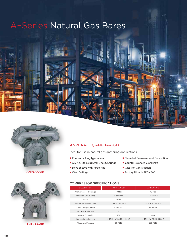# A–Series Natural Gas Bares





**ANPEAA-GD**



**ANPHAA-GD**

#### ANPEAA-GD, ANPHAA-GD

Ideal for use in natural gas gathering applications

- Concentric Ring Type Valves
- AISI 420 Stainless Steel Discs & Springs
- Drive Sheave with Turbo Fins
- Viton O-Rings
- Threaded Crankcase Vent Connection
- Counter Balanced Crankshaft
- Cast-Iron Construction
- Factory Fill with AEON 500

#### COMPRESSOR SPECIFICATIONS

| <b>DESCRIPTION</b>     | ANPHAA-GD                     | ANPEAA-GD                |
|------------------------|-------------------------------|--------------------------|
| Compressor HP Range    | 40 Max                        | 40 Max                   |
| Rotation (drive end)   | Clockwise                     | Clockwise                |
| Valves                 | Plain                         | Plain                    |
| Bore & Stroke (inches) | 7.87 & 7.87 × 4.5             | $4.25 & 4.25 \times 4.5$ |
| Speed Range (RPM)      | 550-1000                      | 550-1000                 |
| Number Cylinders       | $\overline{2}$                | $\overline{2}$           |
| Weight (pounds)        | 750                           | 600                      |
| Dimensions (inches)    | $L$ 40.3<br>W 28.78<br>H 29.9 | $L$ 33.9 W 24.34 H 26.8  |
| Maximum Pressure       | 60 PSIG                       | 250 PSIG                 |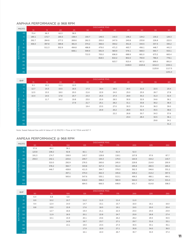#### ANPHAA PERFORMANCE @ 968 RPM

| <b>MSCFD</b> |                 |                 |       |       |       |       | <b>DISCHARGE PSIG</b> |       |        |        |        |        |
|--------------|-----------------|-----------------|-------|-------|-------|-------|-----------------------|-------|--------|--------|--------|--------|
|              |                 | 10 <sup>°</sup> | 15    | 20    | 25    | 30    | 35                    | 40    | 45     | 50     | 55     | 60     |
|              | $-10$           | 70.4            | 66.3  | 62.3  | 58.5  |       |                       |       |        |        |        |        |
|              | $-5$            | 180.1           | 172.7 | 165.5 | 158.4 | 150.7 | 146.5                 | 142.3 | 138.2  | 134.2  | 130.2  | 126.3  |
|              | $\circ$         | 292.7           | 284.8 | 277.2 | 269.6 | 262.3 | 255.0                 | 247.9 | 240.8  | 233.8  | 226.8  | 222.5  |
|              | 5 <sup>5</sup>  | 406.0           | 397.8 | 389.8 | 381.9 | 374.2 | 366.6                 | 359.2 | 351.8  | 344.5  | 337.3  | 330.2  |
|              | 10 <sup>°</sup> |                 | 511.3 | 502.9 | 494.8 | 486.8 | 479.0                 | 471.3 | 463.7  | 456.1  | 448.7  | 441.3  |
| SUCTION PSIG | 15              |                 |       |       | 608.1 | 599.9 | 591.9                 | 583.9 | 576.1  | 568.3  | 560.7  | 553.1  |
|              | 20              |                 |       |       |       | 713.3 | 705.0                 | 696.9 | 688.9  | 681.0  | 673.2  | 665.4  |
|              | 25              |                 |       |       |       |       | 818.5                 | 810.2 | 802.0  | 793.9  | 786.0  | 778.1  |
|              | 30              |                 |       |       |       |       |                       | 923.7 | 915.4  | 907.2  | 899.0  | 891.0  |
|              | 35              |                 |       |       |       |       |                       |       | 1028.9 | 1020.6 | 1012.3 | 1004.1 |
|              | 40              |                 |       |       |       |       |                       |       |        |        | 1125.8 | 1117.5 |
|              | 45              |                 |       |       |       |       |                       |       |        |        |        | 1231.0 |

| <b>BHP</b>   |                 |                 | <b>DISCHARGE PSIG</b> |      |      |      |      |      |      |      |      |      |  |  |
|--------------|-----------------|-----------------|-----------------------|------|------|------|------|------|------|------|------|------|--|--|
|              |                 | 10 <sup>°</sup> | 15 <sup>°</sup>       | 20   | 25   | 30   | 35   | 40   | 45   | 50   | 55   | 60   |  |  |
|              | $-10$           | 9.1             | 10.1                  | 11.1 | 12.0 |      |      |      |      |      |      |      |  |  |
|              | $-5$            | 12.7            | 14.3                  | 15.5 | 16.5 | 17.3 | 18.4 | 19.5 | 20.5 | 21.5 | 22.5 | 23.4 |  |  |
|              | $\circ$         | 12.5            | 15.5                  | 18.0 | 20.0 | 21.6 | 22.9 | 24.0 | 25.0 | 25.9 | 26.7 | 27.8 |  |  |
|              | 5 <sup>1</sup>  | 10.4            | 14.5                  | 17.8 | 20.7 | 23.3 | 25.5 | 27.3 | 28.9 | 30.2 | 31.3 | 32.4 |  |  |
|              | 10 <sup>°</sup> |                 | 11.7                  | 16.2 | 19.8 | 23.0 | 25.9 | 28.5 | 30.9 | 32.9 | 34.6 | 36.1 |  |  |
| SUCTION PSIG | 15              |                 |                       |      | 17.9 | 21.7 | 25.1 | 28.2 | 31.1 | 33.8 | 36.2 | 38.3 |  |  |
|              | 20              |                 |                       |      |      | 19.4 | 23.5 | 27.0 | 30.3 | 33.4 | 36.3 | 39.0 |  |  |
|              | 25              |                 |                       |      |      |      | 20.9 | 25.2 | 28.9 | 32.3 | 35.5 | 38.6 |  |  |
|              | 30              |                 |                       |      |      |      |      | 22.2 | 26.8 | 30.7 | 34.3 | 37.6 |  |  |
|              | 35              |                 |                       |      |      |      |      |      | 23.4 | 28.4 | 32.5 | 36.1 |  |  |
|              | 40              |                 |                       |      |      |      |      |      |      |      | 29.8 | 34.1 |  |  |
|              | 45              |                 |                       |      |      |      |      |      |      |      |      | 31.2 |  |  |

Note: Sweet Natural Gas with N Value of 1.3; MSCFD = Flow at 14.7 PSIA and 60° F

#### ANPEAA PERFORMANCE @ 968 RPM

|              |                 |       |       |       |       | <b>DISCHARGE PSIG</b> |       |       |       |       |
|--------------|-----------------|-------|-------|-------|-------|-----------------------|-------|-------|-------|-------|
| <b>MSCFD</b> |                 | 50    | 75    | 100   | 125   | <b>150</b>            | 175   | 200   | 225   | 250   |
|              | $\circ$         | 57.6  | 46.1  | 36.1  |       |                       |       |       |       |       |
|              | 10 <sup>°</sup> | 123.8 | 108.2 | 92.8  | 82.1  | 71.9                  | 61.9  | 52.3  |       |       |
|              | 20              | 191.3 | 174.7 | 158.9 | 143.7 | 128.8                 | 118.1 | 107.8 | 97.6  | 87.7  |
|              | 30              | 259.3 | 242.1 | 225.6 | 209.7 | 194.3                 | 179.3 | 164.9 | 154.2 | 143.7 |
|              | 40              |       | 310.0 | 292.9 | 276.5 | 260.6                 | 245.0 | 229.8 | 214.9 | 200.9 |
|              | 50              |       | 378.2 | 360.7 | 343.8 | 327.4                 | 311.4 | 295.8 | 280.5 | 265.4 |
| SUCTION PSIG | 60              |       | 446.7 | 428.8 | 411.5 | 394.7                 | 378.3 | 362.3 | 346.6 | 331.2 |
|              | 70              |       |       | 497.1 | 479.4 | 462.3                 | 445.6 | 429.2 | 413.2 | 397.5 |
|              | 80              |       |       | 565.6 | 547.6 | 530.1                 | 513.1 | 496.5 | 480.1 | 464.1 |
|              | 90              |       |       |       | 616.0 | 598.2                 | 580.9 | 564.0 | 547.4 | 531.0 |
|              | 100             |       |       |       | 684.5 | 666.5                 | 648.9 | 631.7 | 614.8 | 598.3 |

| <b>BHP</b>   |         | <b>DISCHARGE PSIG</b> |      |      |      |      |      |      |      |      |
|--------------|---------|-----------------------|------|------|------|------|------|------|------|------|
|              |         | 50                    | 75   | 100  | 125  | 150  | 175  | 200  | 225  | 250  |
| SUCTION PSIG | $\circ$ | 6.4                   | 6.8  | 6.8  |      |      |      |      |      |      |
|              | 10      | 8.9                   | 10.2 | 10.7 | 11.2 | 11.5 | 11.4 | 11.0 |      |      |
|              | 20      | 9.4                   | 12.4 | 14.0 | 14.7 | 15.1 | 15.7 | 16.0 | 16.1 | 16.0 |
|              | 30      | 8.8                   | 13.0 | 15.9 | 17.6 | 18.5 | 19.1 | 19.5 | 20.0 | 20.4 |
|              | 40      |                       | 12.7 | 16.6 | 19.4 | 21.1 | 22.3 | 23.0 | 23.5 | 23.9 |
|              | 50      |                       | 11.9 | 16.5 | 20.1 | 22.8 | 24.7 | 25.9 | 26.8 | 27.4 |
|              | 60      |                       | 10.1 | 15.9 | 20.1 | 23.6 | 26.2 | 28.2 | 29.5 | 30.5 |
|              | 70      |                       |      | 14.9 | 19.7 | 23.7 | 27.1 | 29.7 | 31.6 | 33.1 |
|              | 80      |                       |      | 13.1 | 19.0 | 23.5 | 27.3 | 30.5 | 33.1 | 35.1 |
|              | 90      |                       |      |      | 17.9 | 22.9 | 27.1 | 30.8 | 34.0 | 36.5 |
|              | 100     |                       |      |      | 16.1 | 22.0 | 26.7 | 30.7 | 34.3 | 37.4 |